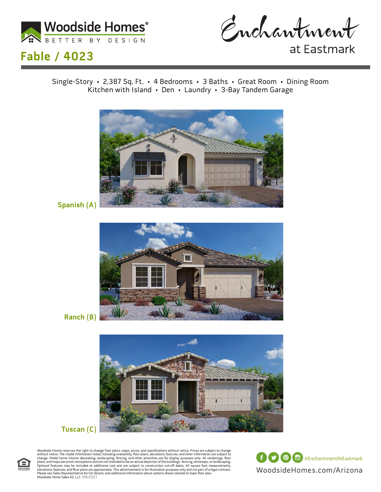



## **Fable / 4023**

at Eastmark

Single-Story • 2,387 Sq. Ft. • 4 Bedrooms • 3 Baths • Great Room • Dining Room Kitchen with Island • Den • Laundry • 3-Bay Tandem Garage



**Spanish (A)**



**Ranch (B)**



#### **Tuscan (C)**

Woodside Homes reserves the right to change floor plans, maps, prices, and specifications without notice. Prices are subject to change without notice. The model information listed, including availability, floor plans, elev

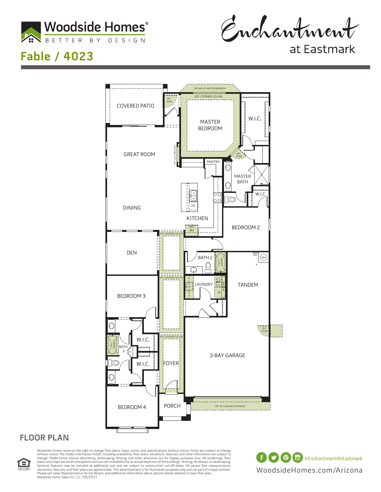

Enchantment

## **Fable / 4023**

at Eastmark



#### **FLOOR PLAN**



Woodside Homes reserves the right to change floor plans, maps, prices, and specifications without notice. Prices are subject to change without notice. The model information listed, including availability, floor plans, elev Please see Sales Representative for full details, and additional infomration about options shown dashed on base floor plan. Woodside Home Sales AZ, LLC. 09/2021

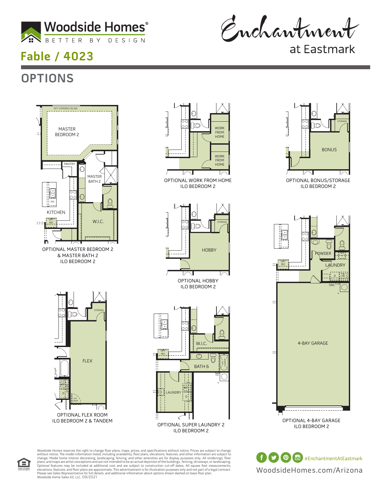

# **Fable / 4023**

**OPTIONS**

Enchantment

at Eastmark

### OPT. COFFERED CEILING MASTER MASTER  $\pm$ BEDROOM BEDROOM 2 PANTRY ∩ MASTER BATH BATH 2  $\overline{\phantom{a}}$  $\epsilon$ DW KITCHEN  $W.I.C.$ OPT. REF.  $$ n OPTIONAL MASTER BEDROOM 2 & MASTER BATH 2 ILO BEDROOM 2 STORAGE 3-BAY GARAGE FLEX

OPT. DOOR

OPTIONAL FLEX ROOM ILO BEDROOM 2 & TANDEM

W OPT. CABS

2-BAY GARAGE





Woodside Homes reserves the right to change floor plans, maps, prices, and specifications without notice. Prices are subject to change without notice. The model information listed, including availability, floor plans, elev Please see Sales Representative for full details, and additional infomration about options shown dashed on base floor plan. Woodside Home Sales AZ, LLC. 09/2021 mes reserves the rig<br>:e. The model inform



OPTIONAL BONUS/STORAGE ILO BEDROOM 2



OPTIONAL 4-BAY GARAGE ILO BEDROOM 2

WoodsideHomes.com/Arizona **f**  $\bullet$  **(0) d** #EnchantmentAtEastmark